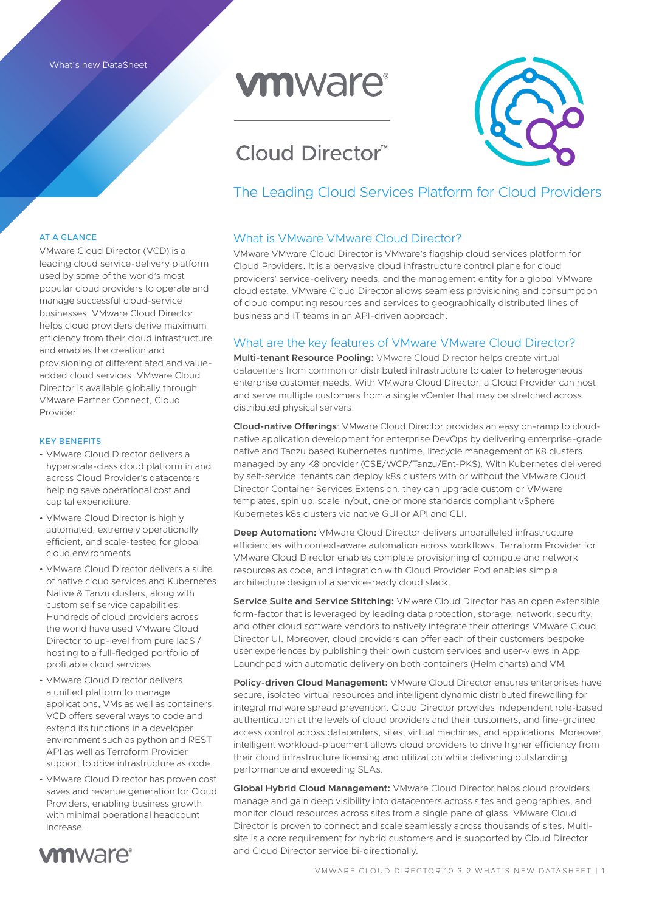# **vmware**®

# Cloud Director™



### The Leading Cloud Services Platform for Cloud Providers

#### What is VMware VMware Cloud Director?

VMware VMware Cloud Director is VMware's flagship cloud services platform for Cloud Providers. It is a pervasive cloud infrastructure control plane for cloud providers' service-delivery needs, and the management entity for a global VMware cloud estate. VMware Cloud Director allows seamless provisioning and consumption of cloud computing resources and services to geographically distributed lines of business and IT teams in an API-driven approach.

#### What are the key features of VMware VMware Cloud Director?

**Multi-tenant Resource Pooling:** VMware Cloud Director helps create virtual datacenters from common or distributed infrastructure to cater to heterogeneous enterprise customer needs. With VMware Cloud Director, a Cloud Provider can host and serve multiple customers from a single vCenter that may be stretched across distributed physical servers.

**Cloud-native Offerings**: VMware Cloud Director provides an easy on-ramp to cloudnative application development for enterprise DevOps by delivering enterprise-grade native and Tanzu based Kubernetes runtime, lifecycle management of K8 clusters managed by any K8 provider (CSE/WCP/Tanzu/Ent-PKS). With Kubernetes delivered by self-service, tenants can deploy k8s clusters with or without the VMware Cloud Director Container Services Extension, they can upgrade custom or VMware templates, spin up, scale in/out, one or more standards compliant vSphere Kubernetes k8s clusters via native GUI or API and CLI.

**Deep Automation:** VMware Cloud Director delivers unparalleled infrastructure efficiencies with context-aware automation across workflows. Terraform Provider for VMware Cloud Director enables complete provisioning of compute and network resources as code, and integration with Cloud Provider Pod enables simple architecture design of a service-ready cloud stack.

**Service Suite and Service Stitching:** VMware Cloud Director has an open extensible form-factor that is leveraged by leading data protection, storage, network, security, and other cloud software vendors to natively integrate their offerings VMware Cloud Director UI. Moreover, cloud providers can offer each of their customers bespoke user experiences by publishing their own custom services and user-views in App Launchpad with automatic delivery on both containers (Helm charts) and VM.

**Policy-driven Cloud Management:** VMware Cloud Director ensures enterprises have secure, isolated virtual resources and intelligent dynamic distributed firewalling for integral malware spread prevention. Cloud Director provides independent role-based authentication at the levels of cloud providers and their customers, and fine-grained access control across datacenters, sites, virtual machines, and applications. Moreover, intelligent workload-placement allows cloud providers to drive higher efficiency from their cloud infrastructure licensing and utilization while delivering outstanding performance and exceeding SLAs.

**Global Hybrid Cloud Management:** VMware Cloud Director helps cloud providers manage and gain deep visibility into datacenters across sites and geographies, and monitor cloud resources across sites from a single pane of glass. VMware Cloud Director is proven to connect and scale seamlessly across thousands of sites. Multisite is a core requirement for hybrid customers and is supported by Cloud Director and Cloud Director service bi-directionally.

#### AT A GLANCE

VMware Cloud Director (VCD) is a leading cloud service-delivery platform used by some of the world's most popular cloud providers to operate and manage successful cloud-service businesses. VMware Cloud Director helps cloud providers derive maximum efficiency from their cloud infrastructure and enables the creation and provisioning of differentiated and valueadded cloud services. VMware Cloud Director is available globally through VMware Partner Connect, Cloud Provider.

#### KEY BENEFITS

- VMware Cloud Director delivers a hyperscale-class cloud platform in and across Cloud Provider's datacenters helping save operational cost and capital expenditure.
- VMware Cloud Director is highly automated, extremely operationally efficient, and scale-tested for global cloud environments
- VMware Cloud Director delivers a suite of native cloud services and Kubernetes Native & Tanzu clusters, along with custom self service capabilities. Hundreds of cloud providers across the world have used VMware Cloud Director to up-level from pure IaaS / hosting to a full-fledged portfolio of profitable cloud services
- VMware Cloud Director delivers a unified platform to manage applications, VMs as well as containers. VCD offers several ways to code and extend its functions in a developer environment such as python and REST API as well as Terraform Provider support to drive infrastructure as code.
- VMware Cloud Director has proven cost saves and revenue generation for Cloud Providers, enabling business growth with minimal operational headcount increase.

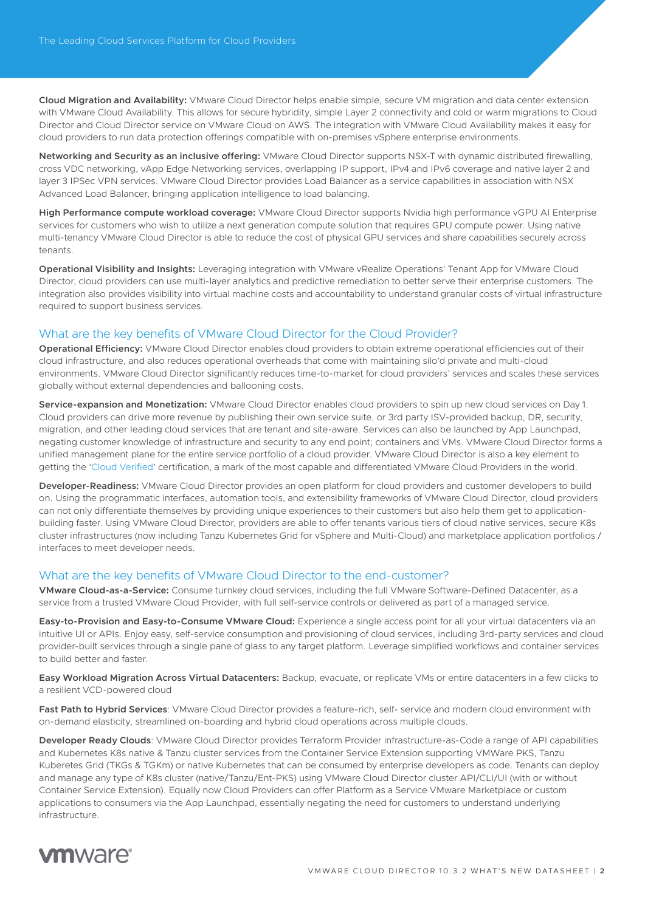**Cloud Migration and Availability:** VMware Cloud Director helps enable simple, secure VM migration and data center extension with VMware Cloud Availability. This allows for secure hybridity, simple Layer 2 connectivity and cold or warm migrations to Cloud Director and Cloud Director service on VMware Cloud on AWS. The integration with VMware Cloud Availability makes it easy for cloud providers to run data protection offerings compatible with on-premises vSphere enterprise environments.

**Networking and Security as an inclusive offering:** VMware Cloud Director supports NSX-T with dynamic distributed firewalling, cross VDC networking, vApp Edge Networking services, overlapping IP support, IPv4 and IPv6 coverage and native layer 2 and layer 3 IPSec VPN services. VMware Cloud Director provides Load Balancer as a service capabilities in association with NSX Advanced Load Balancer, bringing application intelligence to load balancing.

**High Performance compute workload coverage:** VMware Cloud Director supports Nvidia high performance vGPU AI Enterprise services for customers who wish to utilize a next generation compute solution that requires GPU compute power. Using native multi-tenancy VMware Cloud Director is able to reduce the cost of physical GPU services and share capabilities securely across tenants.

**Operational Visibility and Insights:** Leveraging integration with VMware vRealize Operations' Tenant App for VMware Cloud Director, cloud providers can use multi-layer analytics and predictive remediation to better serve their enterprise customers. The integration also provides visibility into virtual machine costs and accountability to understand granular costs of virtual infrastructure required to support business services.

#### What are the key benefits of VMware Cloud Director for the Cloud Provider?

**Operational Efficiency:** VMware Cloud Director enables cloud providers to obtain extreme operational efficiencies out of their cloud infrastructure, and also reduces operational overheads that come with maintaining silo'd private and multi-cloud environments. VMware Cloud Director significantly reduces time-to-market for cloud providers' services and scales these services globally without external dependencies and ballooning costs.

**Service-expansion and Monetization:** VMware Cloud Director enables cloud providers to spin up new cloud services on Day 1. Cloud providers can drive more revenue by publishing their own service suite, or 3rd party ISV-provided backup, DR, security, migration, and other leading cloud services that are tenant and site-aware. Services can also be launched by App Launchpad, negating customer knowledge of infrastructure and security to any end point; containers and VMs. VMware Cloud Director forms a unified management plane for the entire service portfolio of a cloud provider. VMware Cloud Director is also a key element to getting the ['Cloud Verified'](https://www.vmware.com/vmware-cloud-verified.html) certification, a mark of the most capable and differentiated VMware Cloud Providers in the world.

**Developer-Readiness:** VMware Cloud Director provides an open platform for cloud providers and customer developers to build on. Using the programmatic interfaces, automation tools, and extensibility frameworks of VMware Cloud Director, cloud providers can not only differentiate themselves by providing unique experiences to their customers but also help them get to applicationbuilding faster. Using VMware Cloud Director, providers are able to offer tenants various tiers of cloud native services, secure K8s cluster infrastructures (now including Tanzu Kubernetes Grid for vSphere and Multi-Cloud) and marketplace application portfolios / interfaces to meet developer needs.

#### What are the key benefits of VMware Cloud Director to the end-customer?

**VMware Cloud-as-a-Service:** Consume turnkey cloud services, including the full VMware Software-Defined Datacenter, as a service from a trusted VMware Cloud Provider, with full self-service controls or delivered as part of a managed service.

**Easy-to-Provision and Easy-to-Consume VMware Cloud:** Experience a single access point for all your virtual datacenters via an intuitive UI or APIs. Enjoy easy, self-service consumption and provisioning of cloud services, including 3rd-party services and cloud provider-built services through a single pane of glass to any target platform. Leverage simplified workflows and container services to build better and faster.

**Easy Workload Migration Across Virtual Datacenters:** Backup, evacuate, or replicate VMs or entire datacenters in a few clicks to a resilient VCD-powered cloud

**Fast Path to Hybrid Services**: VMware Cloud Director provides a feature-rich, self- service and modern cloud environment with on-demand elasticity, streamlined on-boarding and hybrid cloud operations across multiple clouds.

**Developer Ready Clouds**: VMware Cloud Director provides Terraform Provider infrastructure-as-Code a range of API capabilities and Kubernetes K8s native & Tanzu cluster services from the Container Service Extension supporting VMWare PKS, Tanzu Kuberetes Grid (TKGs & TGKm) or native Kubernetes that can be consumed by enterprise developers as code. Tenants can deploy and manage any type of K8s cluster (native/Tanzu/Ent-PKS) using VMware Cloud Director cluster API/CLI/UI (with or without Container Service Extension). Equally now Cloud Providers can offer Platform as a Service VMware Marketplace or custom applications to consumers via the App Launchpad, essentially negating the need for customers to understand underlying infrastructure.

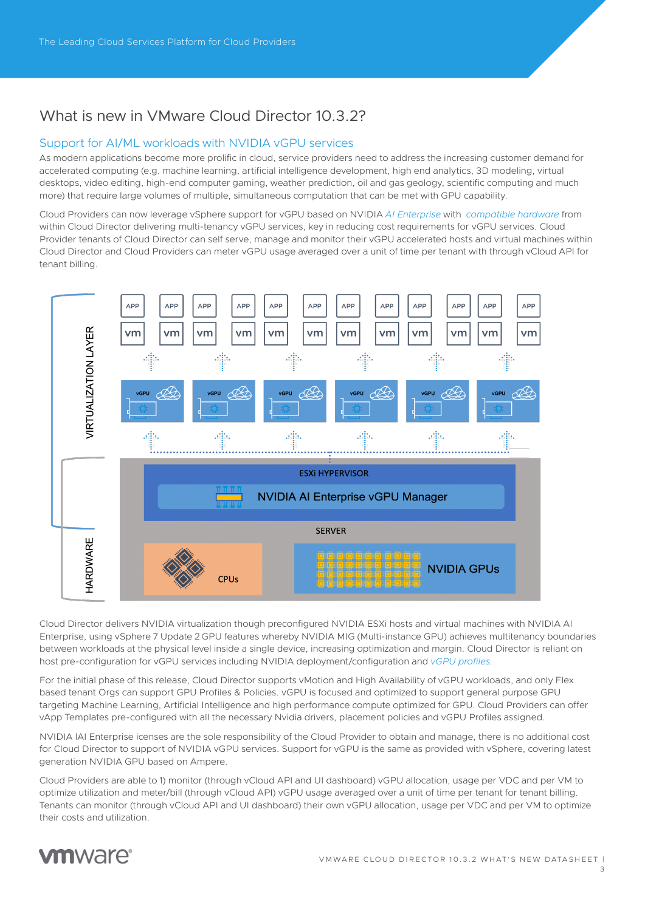## What is new in VMware Cloud Director 10.3.2?

#### Support for AI/ML workloads with NVIDIA vGPU services

As modern applications become more prolific in cloud, service providers need to address the increasing customer demand for accelerated computing (e.g. machine learning, artificial intelligence development, high end analytics, 3D modeling, virtual desktops, video editing, high-end computer gaming, weather prediction, oil and gas geology, scientific computing and much more) that require large volumes of multiple, simultaneous computation that can be met with GPU capability.

Cloud Providers can now leverage vSphere support for vGPU based on NVIDIA *[AI Enterprise](https://www.nvidia.com/en-gb/data-center/products/ai-enterprise-suite/)* with *[compatible hardware](https://docs.nvidia.com/grid/latest/grid-vgpu-release-notes-vmware-vsphere/index.html )* from within Cloud Director delivering multi-tenancy vGPU services, key in reducing cost requirements for vGPU services. Cloud Provider tenants of Cloud Director can self serve, manage and monitor their vGPU accelerated hosts and virtual machines within Cloud Director and Cloud Providers can meter vGPU usage averaged over a unit of time per tenant with through vCloud API for tenant billing.



Cloud Director delivers NVIDIA virtualization though preconfigured NVIDIA ESXi hosts and virtual machines with NVIDIA AI Enterprise, using vSphere 7 Update 2 GPU features whereby NVIDIA MIG (Multi-instance GPU) achieves multitenancy boundaries between workloads at the physical level inside a single device, increasing optimization and margin. Cloud Director is reliant on host pre-configuration for vGPU services including NVIDIA deployment/configuration and *[vGPU profiles](https://docs.vmware.com/en/VMware-Cloud-Director/10.3/VMware-Cloud-Director-Service-Provider-Admin-Portal-Guide/GUID-76E8ED72-87BC-44CB-8411-F1CA46A9E585.html)*.

For the initial phase of this release, Cloud Director supports vMotion and High Availability of vGPU workloads, and only Flex based tenant Orgs can support GPU Profiles & Policies. vGPU is focused and optimized to support general purpose GPU targeting Machine Learning, Artificial Intelligence and high performance compute optimized for GPU. Cloud Providers can offer vApp Templates pre-configured with all the necessary Nvidia drivers, placement policies and vGPU Profiles assigned.

NVIDIA lAI Enterprise icenses are the sole responsibility of the Cloud Provider to obtain and manage, there is no additional cost for Cloud Director to support of NVIDIA vGPU services. Support for vGPU is the same as provided with vSphere, covering latest generation NVIDIA GPU based on Ampere.

Cloud Providers are able to 1) monitor (through vCloud API and UI dashboard) vGPU allocation, usage per VDC and per VM to optimize utilization and meter/bill (through vCloud API) vGPU usage averaged over a unit of time per tenant for tenant billing. Tenants can monitor (through vCloud API and UI dashboard) their own vGPU allocation, usage per VDC and per VM to optimize their costs and utilization.



3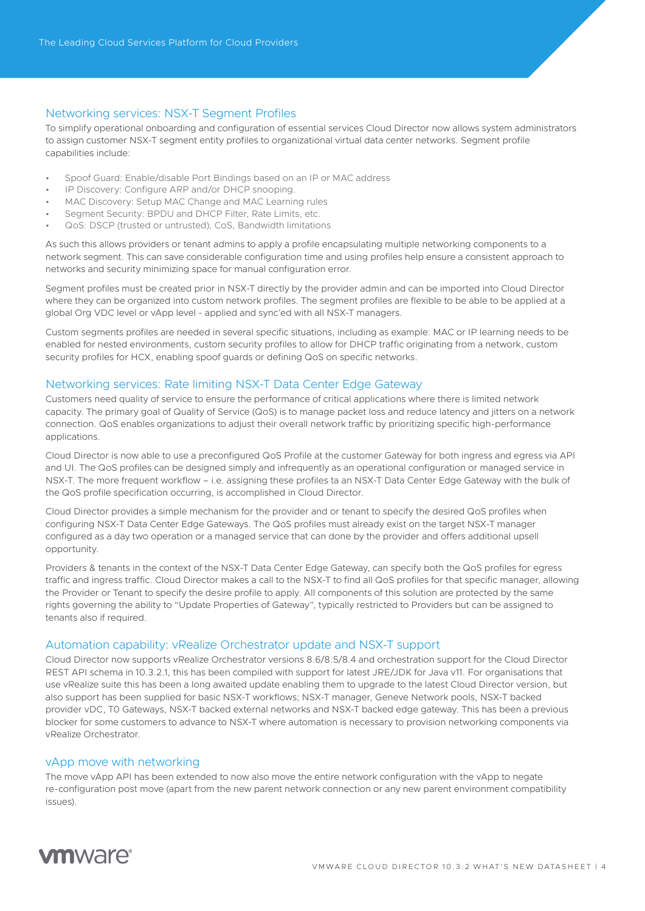#### Networking services: NSX-T Segment Profiles

To simplify operational onboarding and configuration of essential services Cloud Director now allows system administrators to assign customer NSX-T segment entity profiles to organizational virtual data center networks. Segment profile capabilities include:

- Spoof Guard: Enable/disable Port Bindings based on an IP or MAC address
- IP Discovery: Configure ARP and/or DHCP snooping.
- MAC Discovery: Setup MAC Change and MAC Learning rules
- Segment Security: BPDU and DHCP Filter, Rate Limits, etc.
- QoS: DSCP (trusted or untrusted), CoS, Bandwidth limitations

As such this allows providers or tenant admins to apply a profile encapsulating multiple networking components to a network segment. This can save considerable configuration time and using profiles help ensure a consistent approach to networks and security minimizing space for manual configuration error.

Segment profiles must be created prior in NSX-T directly by the provider admin and can be imported into Cloud Director where they can be organized into custom network profiles. The segment profiles are flexible to be able to be applied at a global Org VDC level or vApp level - applied and sync'ed with all NSX-T managers.

Custom segments profiles are needed in several specific situations, including as example: MAC or IP learning needs to be enabled for nested environments, custom security profiles to allow for DHCP traffic originating from a network, custom security profiles for HCX, enabling spoof guards or defining QoS on specific networks.

#### Networking services: Rate limiting NSX-T Data Center Edge Gateway

Customers need quality of service to ensure the performance of critical applications where there is limited network capacity. The primary goal of Quality of Service (QoS) is to manage packet loss and reduce latency and jitters on a network connection. QoS enables organizations to adjust their overall network traffic by prioritizing specific high-performance applications.

Cloud Director is now able to use a preconfigured QoS Profile at the customer Gateway for both ingress and egress via API and UI. The QoS profiles can be designed simply and infrequently as an operational configuration or managed service in NSX-T. The more frequent workflow – i.e. assigning these profiles ta an NSX-T Data Center Edge Gateway with the bulk of the QoS profile specification occurring, is accomplished in Cloud Director.

Cloud Director provides a simple mechanism for the provider and or tenant to specify the desired QoS profiles when configuring NSX-T Data Center Edge Gateways. The QoS profiles must already exist on the target NSX-T manager configured as a day two operation or a managed service that can done by the provider and offers additional upsell opportunity.

Providers & tenants in the context of the NSX-T Data Center Edge Gateway, can specify both the QoS profiles for egress traffic and ingress traffic. Cloud Director makes a call to the NSX-T to find all QoS profiles for that specific manager, allowing the Provider or Tenant to specify the desire profile to apply. All components of this solution are protected by the same rights governing the ability to "Update Properties of Gateway", typically restricted to Providers but can be assigned to tenants also if required.

#### Automation capability: vRealize Orchestrator update and NSX-T support

Cloud Director now supports vRealize Orchestrator versions 8.6/8.5/8.4 and orchestration support for the Cloud Director REST API schema in 10.3.2.1, this has been compiled with support for latest JRE/JDK for Java v11. For organisations that use vRealize suite this has been a long awaited update enabling them to upgrade to the latest Cloud Director version, but also support has been supplied for basic NSX-T workflows; NSX-T manager, Geneve Network pools, NSX-T backed provider vDC, T0 Gateways, NSX-T backed external networks and NSX-T backed edge gateway. This has been a previous blocker for some customers to advance to NSX-T where automation is necessary to provision networking components via vRealize Orchestrator.

#### vApp move with networking

The move vApp API has been extended to now also move the entire network configuration with the vApp to negate re-configuration post move (apart from the new parent network connection or any new parent environment compatibility issues).